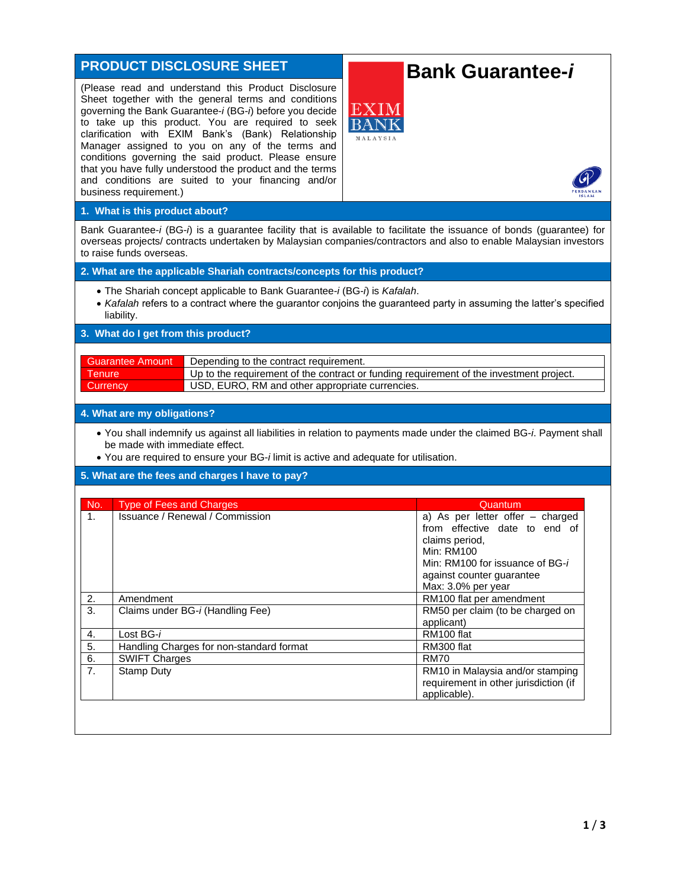# **PRODUCT DISCLOSURE SHEET**

(Please read and understand this Product Disclosure Sheet together with the general terms and conditions governing the Bank Guarantee-*i* (BG-*i*) before you decide to take up this product. You are required to seek clarification with EXIM Bank's (Bank) Relationship Manager assigned to you on any of the terms and conditions governing the said product. Please ensure that you have fully understood the product and the terms and conditions are suited to your financing and/or business requirement.)

# **Bank Guarantee-***i*



## **1. What is this product about?**

Bank Guarantee-*i* (BG-*i*) is a guarantee facility that is available to facilitate the issuance of bonds (guarantee) for overseas projects/ contracts undertaken by Malaysian companies/contractors and also to enable Malaysian investors to raise funds overseas.

## **2. What are the applicable Shariah contracts/concepts for this product?**

- The Shariah concept applicable to Bank Guarantee-*i* (BG-*i*) is *Kafalah*.
- *Kafalah* refers to a contract where the guarantor conjoins the guaranteed party in assuming the latter's specified liability.

#### **3. What do I get from this product?**

| Guarantee Amount | Depending to the contract requirement.                                                  |
|------------------|-----------------------------------------------------------------------------------------|
| <b>Tenure</b>    | Up to the requirement of the contract or funding requirement of the investment project. |
| <b>Currency</b>  | USD, EURO, RM and other appropriate currencies.                                         |

#### **4. What are my obligations?**

- You shall indemnify us against all liabilities in relation to payments made under the claimed BG-*i*. Payment shall be made with immediate effect.
- You are required to ensure your BG-*i* limit is active and adequate for utilisation.

#### **5. What are the fees and charges I have to pay?**

| No.            | <b>Type of Fees and Charges</b>          | Quantum                               |
|----------------|------------------------------------------|---------------------------------------|
| 1.             | Issuance / Renewal / Commission          | a) As per letter offer – charged      |
|                |                                          | from effective date to end of         |
|                |                                          | claims period.                        |
|                |                                          | Min: RM100                            |
|                |                                          | Min: RM100 for issuance of BG-i       |
|                |                                          | against counter guarantee             |
|                |                                          | Max: 3.0% per year                    |
| 2.             | Amendment                                | RM100 flat per amendment              |
| 3.             | Claims under BG-i (Handling Fee)         | RM50 per claim (to be charged on      |
|                |                                          | applicant)                            |
| 4.             | Lost BG-i                                | RM100 flat                            |
| 5.             | Handling Charges for non-standard format | RM300 flat                            |
| 6.             | <b>SWIFT Charges</b>                     | <b>RM70</b>                           |
| 7 <sub>1</sub> | Stamp Duty                               | RM10 in Malaysia and/or stamping      |
|                |                                          | requirement in other jurisdiction (if |
|                |                                          | applicable).                          |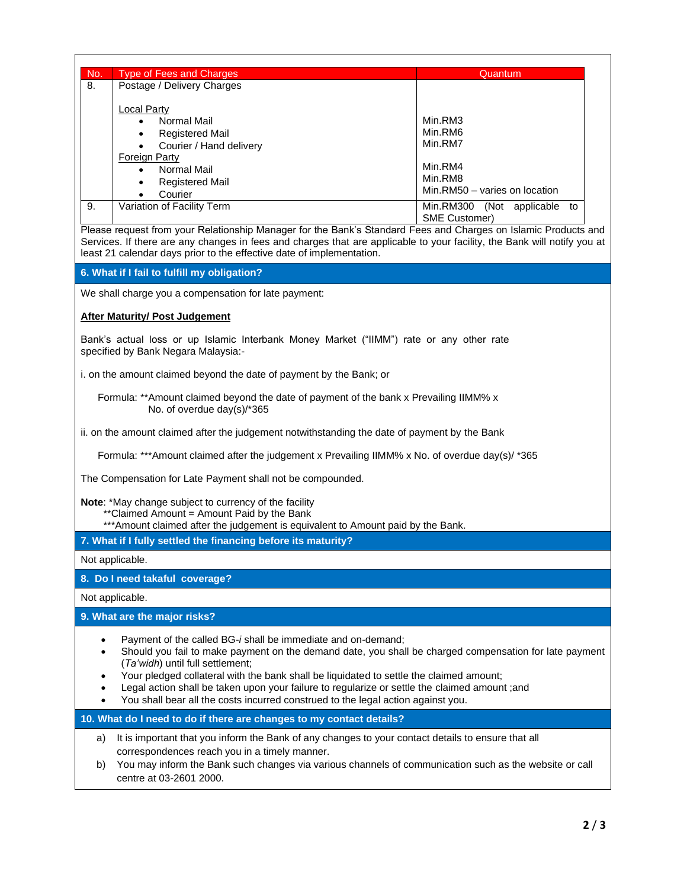| No. | Type of Fees and Charges            | Quantum                            |
|-----|-------------------------------------|------------------------------------|
| 8.  | Postage / Delivery Charges          |                                    |
|     | Local Party                         |                                    |
|     | Normal Mail<br>$\bullet$            | Min.RM3                            |
|     | <b>Registered Mail</b><br>٠         | Min.RM6                            |
|     | Courier / Hand delivery             | Min.RM7                            |
|     | <b>Foreign Party</b>                |                                    |
|     | Normal Mail<br>$\bullet$            | Min.RM4                            |
|     | <b>Registered Mail</b><br>$\bullet$ | Min.RM8                            |
|     |                                     | Min.RM50 - varies on location      |
|     | Courier                             |                                    |
| 9.  | Variation of Facility Term          | Min.RM300<br>applicable to<br>(Not |
|     |                                     | <b>SME Customer)</b>               |

Please request from your Relationship Manager for the Bank's Standard Fees and Charges on Islamic Products and Services. If there are any changes in fees and charges that are applicable to your facility, the Bank will notify you at least 21 calendar days prior to the effective date of implementation.

#### **6. What if I fail to fulfill my obligation?**

We shall charge you a compensation for late payment:

#### **After Maturity/ Post Judgement**

Bank's actual loss or up Islamic Interbank Money Market ("IIMM") rate or any other rate specified by Bank Negara Malaysia:-

i. on the amount claimed beyond the date of payment by the Bank; or

 Formula: \*\*Amount claimed beyond the date of payment of the bank x Prevailing IIMM% x No. of overdue day(s)/\*365

ii. on the amount claimed after the judgement notwithstanding the date of payment by the Bank

Formula: \*\*\*Amount claimed after the judgement x Prevailing IIMM% x No. of overdue day(s)/ \*365

The Compensation for Late Payment shall not be compounded.

**Note**: \*May change subject to currency of the facility

- \*\*Claimed Amount = Amount Paid by the Bank
- \*\*\*Amount claimed after the judgement is equivalent to Amount paid by the Bank.

**7. What if I fully settled the financing before its maturity?**

Not applicable.

**8. Do I need takaful coverage?**

Not applicable.

**9. What are the major risks?**

- Payment of the called BG-*i* shall be immediate and on-demand;
- Should you fail to make payment on the demand date, you shall be charged compensation for late payment (*Ta'widh*) until full settlement;
- Your pledged collateral with the bank shall be liquidated to settle the claimed amount;
- Legal action shall be taken upon your failure to regularize or settle the claimed amount ;and
- You shall bear all the costs incurred construed to the legal action against you.

**10. What do I need to do if there are changes to my contact details?**

- a) It is important that you inform the Bank of any changes to your contact details to ensure that all correspondences reach you in a timely manner.
- b) You may inform the Bank such changes via various channels of communication such as the website or call centre at 03-2601 2000.